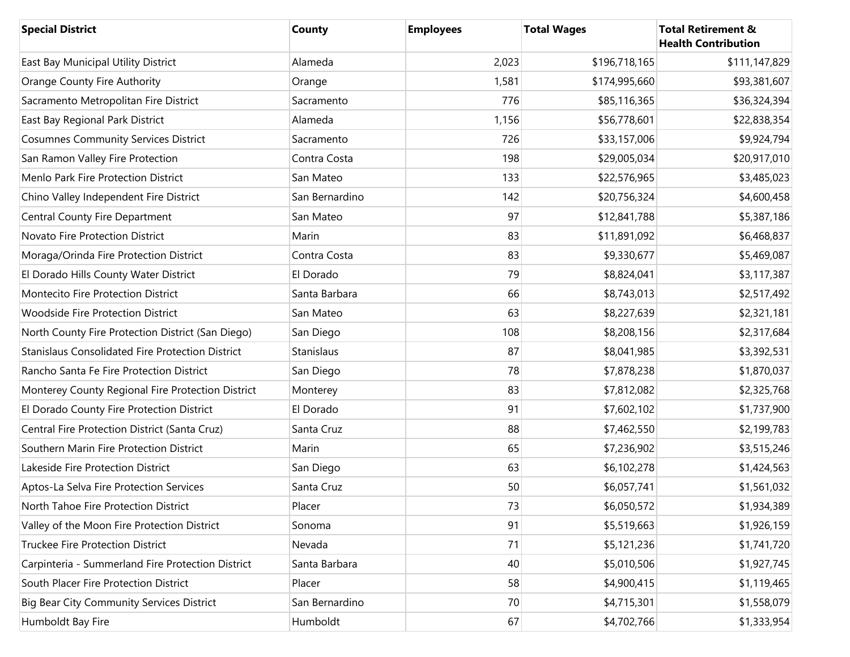| <b>Special District</b>                                 | County         | <b>Employees</b> | <b>Total Wages</b> | <b>Total Retirement &amp;</b><br><b>Health Contribution</b> |
|---------------------------------------------------------|----------------|------------------|--------------------|-------------------------------------------------------------|
| East Bay Municipal Utility District                     | Alameda        | 2,023            | \$196,718,165      | \$111,147,829                                               |
| Orange County Fire Authority                            | Orange         | 1,581            | \$174,995,660      | \$93,381,607                                                |
| Sacramento Metropolitan Fire District                   | Sacramento     | 776              | \$85,116,365       | \$36,324,394                                                |
| East Bay Regional Park District                         | Alameda        | 1,156            | \$56,778,601       | \$22,838,354                                                |
| <b>Cosumnes Community Services District</b>             | Sacramento     | 726              | \$33,157,006       | \$9,924,794                                                 |
| San Ramon Valley Fire Protection                        | Contra Costa   | 198              | \$29,005,034       | \$20,917,010                                                |
| Menlo Park Fire Protection District                     | San Mateo      | 133              | \$22,576,965       | \$3,485,023                                                 |
| Chino Valley Independent Fire District                  | San Bernardino | 142              | \$20,756,324       | \$4,600,458                                                 |
| Central County Fire Department                          | San Mateo      | 97               | \$12,841,788       | \$5,387,186                                                 |
| Novato Fire Protection District                         | Marin          | 83               | \$11,891,092       | \$6,468,837                                                 |
| Moraga/Orinda Fire Protection District                  | Contra Costa   | 83               | \$9,330,677        | \$5,469,087                                                 |
| El Dorado Hills County Water District                   | El Dorado      | 79               | \$8,824,041        | \$3,117,387                                                 |
| Montecito Fire Protection District                      | Santa Barbara  | 66               | \$8,743,013        | \$2,517,492                                                 |
| <b>Woodside Fire Protection District</b>                | San Mateo      | 63               | \$8,227,639        | \$2,321,181                                                 |
| North County Fire Protection District (San Diego)       | San Diego      | 108              | \$8,208,156        | \$2,317,684                                                 |
| <b>Stanislaus Consolidated Fire Protection District</b> | Stanislaus     | 87               | \$8,041,985        | \$3,392,531                                                 |
| Rancho Santa Fe Fire Protection District                | San Diego      | 78               | \$7,878,238        | \$1,870,037                                                 |
| Monterey County Regional Fire Protection District       | Monterey       | 83               | \$7,812,082        | \$2,325,768                                                 |
| El Dorado County Fire Protection District               | El Dorado      | 91               | \$7,602,102        | \$1,737,900                                                 |
| Central Fire Protection District (Santa Cruz)           | Santa Cruz     | 88               | \$7,462,550        | \$2,199,783                                                 |
| Southern Marin Fire Protection District                 | Marin          | 65               | \$7,236,902        | \$3,515,246                                                 |
| Lakeside Fire Protection District                       | San Diego      | 63               | \$6,102,278        | \$1,424,563                                                 |
| Aptos-La Selva Fire Protection Services                 | Santa Cruz     | 50               | \$6,057,741        | \$1,561,032                                                 |
| North Tahoe Fire Protection District                    | Placer         | 73               | \$6,050,572        | \$1,934,389                                                 |
| Valley of the Moon Fire Protection District             | Sonoma         | 91               | \$5,519,663        | \$1,926,159                                                 |
| <b>Truckee Fire Protection District</b>                 | Nevada         | 71               | \$5,121,236        | \$1,741,720                                                 |
| Carpinteria - Summerland Fire Protection District       | Santa Barbara  | 40               | \$5,010,506        | \$1,927,745                                                 |
| South Placer Fire Protection District                   | Placer         | 58               | \$4,900,415        | \$1,119,465                                                 |
| <b>Big Bear City Community Services District</b>        | San Bernardino | 70               | \$4,715,301        | \$1,558,079                                                 |
| Humboldt Bay Fire                                       | Humboldt       | 67               | \$4,702,766        | \$1,333,954                                                 |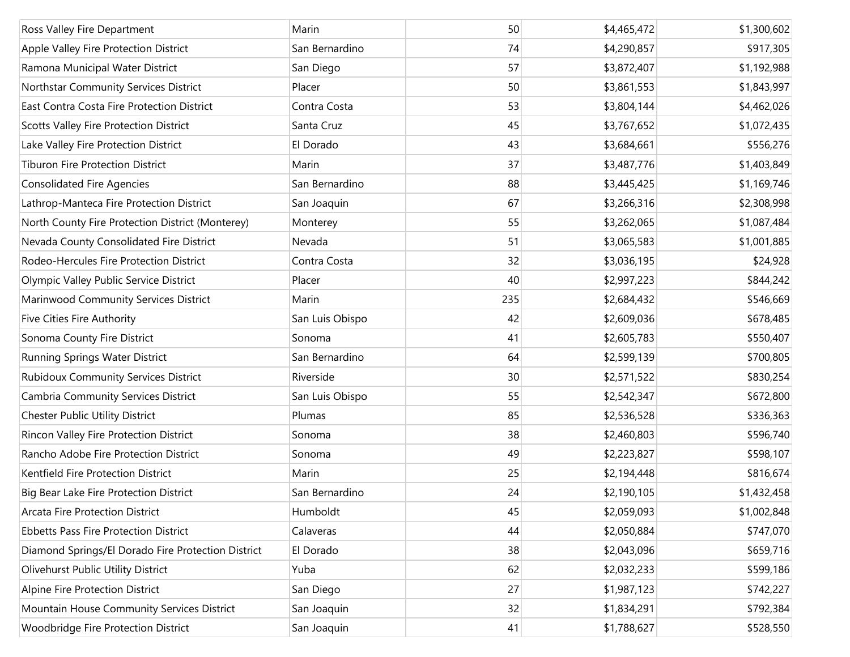| Ross Valley Fire Department                        | Marin           | 50  | \$4,465,472 | \$1,300,602 |
|----------------------------------------------------|-----------------|-----|-------------|-------------|
| Apple Valley Fire Protection District              | San Bernardino  | 74  | \$4,290,857 | \$917,305   |
| Ramona Municipal Water District                    | San Diego       | 57  | \$3,872,407 | \$1,192,988 |
| Northstar Community Services District              | Placer          | 50  | \$3,861,553 | \$1,843,997 |
| East Contra Costa Fire Protection District         | Contra Costa    | 53  | \$3,804,144 | \$4,462,026 |
| Scotts Valley Fire Protection District             | Santa Cruz      | 45  | \$3,767,652 | \$1,072,435 |
| Lake Valley Fire Protection District               | El Dorado       | 43  | \$3,684,661 | \$556,276   |
| <b>Tiburon Fire Protection District</b>            | Marin           | 37  | \$3,487,776 | \$1,403,849 |
| <b>Consolidated Fire Agencies</b>                  | San Bernardino  | 88  | \$3,445,425 | \$1,169,746 |
| Lathrop-Manteca Fire Protection District           | San Joaquin     | 67  | \$3,266,316 | \$2,308,998 |
| North County Fire Protection District (Monterey)   | Monterey        | 55  | \$3,262,065 | \$1,087,484 |
| Nevada County Consolidated Fire District           | Nevada          | 51  | \$3,065,583 | \$1,001,885 |
| Rodeo-Hercules Fire Protection District            | Contra Costa    | 32  | \$3,036,195 | \$24,928    |
| Olympic Valley Public Service District             | Placer          | 40  | \$2,997,223 | \$844,242   |
| Marinwood Community Services District              | Marin           | 235 | \$2,684,432 | \$546,669   |
| Five Cities Fire Authority                         | San Luis Obispo | 42  | \$2,609,036 | \$678,485   |
| Sonoma County Fire District                        | Sonoma          | 41  | \$2,605,783 | \$550,407   |
| Running Springs Water District                     | San Bernardino  | 64  | \$2,599,139 | \$700,805   |
| <b>Rubidoux Community Services District</b>        | Riverside       | 30  | \$2,571,522 | \$830,254   |
| Cambria Community Services District                | San Luis Obispo | 55  | \$2,542,347 | \$672,800   |
| <b>Chester Public Utility District</b>             | Plumas          | 85  | \$2,536,528 | \$336,363   |
| Rincon Valley Fire Protection District             | Sonoma          | 38  | \$2,460,803 | \$596,740   |
| Rancho Adobe Fire Protection District              | Sonoma          | 49  | \$2,223,827 | \$598,107   |
| Kentfield Fire Protection District                 | Marin           | 25  | \$2,194,448 | \$816,674   |
| Big Bear Lake Fire Protection District             | San Bernardino  | 24  | \$2,190,105 | \$1,432,458 |
| <b>Arcata Fire Protection District</b>             | Humboldt        | 45  | \$2,059,093 | \$1,002,848 |
| <b>Ebbetts Pass Fire Protection District</b>       | Calaveras       | 44  | \$2,050,884 | \$747,070   |
| Diamond Springs/El Dorado Fire Protection District | El Dorado       | 38  | \$2,043,096 | \$659,716   |
| Olivehurst Public Utility District                 | Yuba            | 62  | \$2,032,233 | \$599,186   |
| Alpine Fire Protection District                    | San Diego       | 27  | \$1,987,123 | \$742,227   |
| Mountain House Community Services District         | San Joaquin     | 32  | \$1,834,291 | \$792,384   |
| Woodbridge Fire Protection District                | San Joaquin     | 41  | \$1,788,627 | \$528,550   |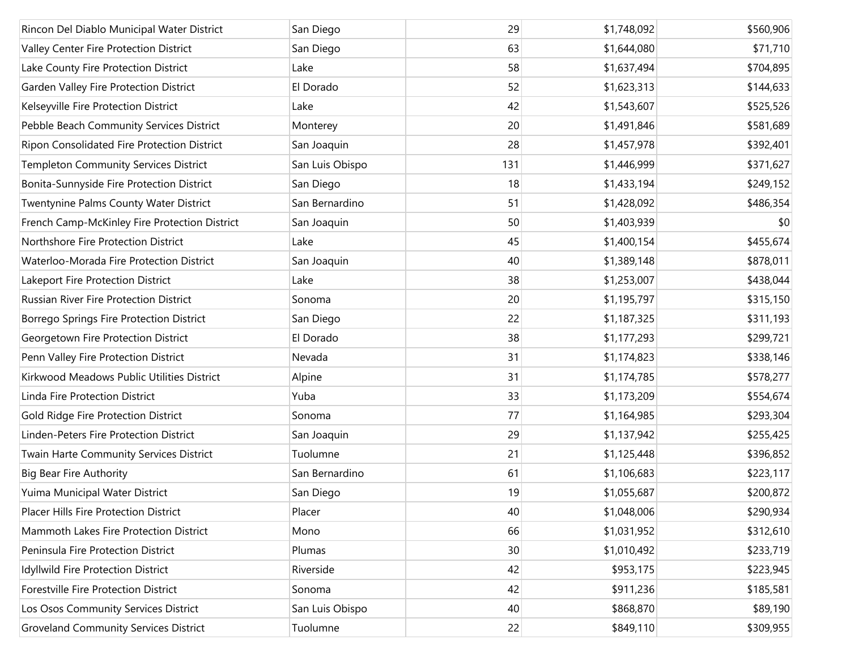| Rincon Del Diablo Municipal Water District    | San Diego       | 29  | \$1,748,092 | \$560,906 |
|-----------------------------------------------|-----------------|-----|-------------|-----------|
| Valley Center Fire Protection District        | San Diego       | 63  | \$1,644,080 | \$71,710  |
| Lake County Fire Protection District          | Lake            | 58  | \$1,637,494 | \$704,895 |
| Garden Valley Fire Protection District        | El Dorado       | 52  | \$1,623,313 | \$144,633 |
| Kelseyville Fire Protection District          | Lake            | 42  | \$1,543,607 | \$525,526 |
| Pebble Beach Community Services District      | Monterey        | 20  | \$1,491,846 | \$581,689 |
| Ripon Consolidated Fire Protection District   | San Joaquin     | 28  | \$1,457,978 | \$392,401 |
| <b>Templeton Community Services District</b>  | San Luis Obispo | 131 | \$1,446,999 | \$371,627 |
| Bonita-Sunnyside Fire Protection District     | San Diego       | 18  | \$1,433,194 | \$249,152 |
| Twentynine Palms County Water District        | San Bernardino  | 51  | \$1,428,092 | \$486,354 |
| French Camp-McKinley Fire Protection District | San Joaquin     | 50  | \$1,403,939 | \$0       |
| Northshore Fire Protection District           | Lake            | 45  | \$1,400,154 | \$455,674 |
| Waterloo-Morada Fire Protection District      | San Joaquin     | 40  | \$1,389,148 | \$878,011 |
| Lakeport Fire Protection District             | Lake            | 38  | \$1,253,007 | \$438,044 |
| Russian River Fire Protection District        | Sonoma          | 20  | \$1,195,797 | \$315,150 |
| Borrego Springs Fire Protection District      | San Diego       | 22  | \$1,187,325 | \$311,193 |
| Georgetown Fire Protection District           | El Dorado       | 38  | \$1,177,293 | \$299,721 |
| Penn Valley Fire Protection District          | Nevada          | 31  | \$1,174,823 | \$338,146 |
| Kirkwood Meadows Public Utilities District    | Alpine          | 31  | \$1,174,785 | \$578,277 |
| Linda Fire Protection District                | Yuba            | 33  | \$1,173,209 | \$554,674 |
| Gold Ridge Fire Protection District           | Sonoma          | 77  | \$1,164,985 | \$293,304 |
| Linden-Peters Fire Protection District        | San Joaquin     | 29  | \$1,137,942 | \$255,425 |
| Twain Harte Community Services District       | Tuolumne        | 21  | \$1,125,448 | \$396,852 |
| <b>Big Bear Fire Authority</b>                | San Bernardino  | 61  | \$1,106,683 | \$223,117 |
| Yuima Municipal Water District                | San Diego       | 19  | \$1,055,687 | \$200,872 |
| Placer Hills Fire Protection District         | Placer          | 40  | \$1,048,006 | \$290,934 |
| Mammoth Lakes Fire Protection District        | Mono            | 66  | \$1,031,952 | \$312,610 |
| Peninsula Fire Protection District            | Plumas          | 30  | \$1,010,492 | \$233,719 |
| Idyllwild Fire Protection District            | Riverside       | 42  | \$953,175   | \$223,945 |
| Forestville Fire Protection District          | Sonoma          | 42  | \$911,236   | \$185,581 |
| Los Osos Community Services District          | San Luis Obispo | 40  | \$868,870   | \$89,190  |
| <b>Groveland Community Services District</b>  | Tuolumne        | 22  | \$849,110   | \$309,955 |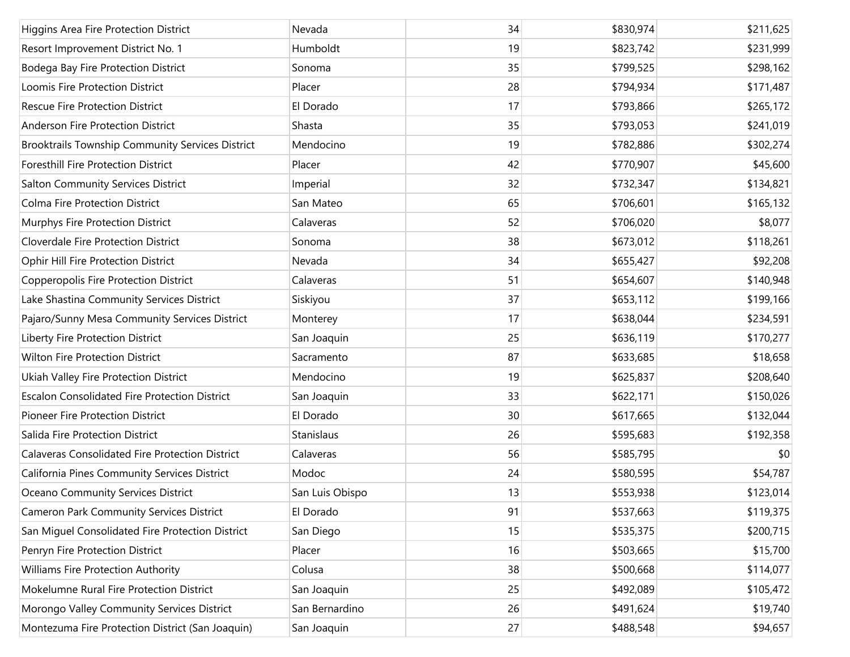| Higgins Area Fire Protection District                | Nevada          | 34 | \$830,974 | \$211,625 |
|------------------------------------------------------|-----------------|----|-----------|-----------|
| Resort Improvement District No. 1                    | Humboldt        | 19 | \$823,742 | \$231,999 |
| Bodega Bay Fire Protection District                  | Sonoma          | 35 | \$799,525 | \$298,162 |
| Loomis Fire Protection District                      | Placer          | 28 | \$794,934 | \$171,487 |
| <b>Rescue Fire Protection District</b>               | El Dorado       | 17 | \$793,866 | \$265,172 |
| Anderson Fire Protection District                    | Shasta          | 35 | \$793,053 | \$241,019 |
| Brooktrails Township Community Services District     | Mendocino       | 19 | \$782,886 | \$302,274 |
| Foresthill Fire Protection District                  | Placer          | 42 | \$770,907 | \$45,600  |
| <b>Salton Community Services District</b>            | Imperial        | 32 | \$732,347 | \$134,821 |
| Colma Fire Protection District                       | San Mateo       | 65 | \$706,601 | \$165,132 |
| Murphys Fire Protection District                     | Calaveras       | 52 | \$706,020 | \$8,077   |
| Cloverdale Fire Protection District                  | Sonoma          | 38 | \$673,012 | \$118,261 |
| Ophir Hill Fire Protection District                  | Nevada          | 34 | \$655,427 | \$92,208  |
| Copperopolis Fire Protection District                | Calaveras       | 51 | \$654,607 | \$140,948 |
| Lake Shastina Community Services District            | Siskiyou        | 37 | \$653,112 | \$199,166 |
| Pajaro/Sunny Mesa Community Services District        | Monterey        | 17 | \$638,044 | \$234,591 |
| Liberty Fire Protection District                     | San Joaquin     | 25 | \$636,119 | \$170,277 |
| Wilton Fire Protection District                      | Sacramento      | 87 | \$633,685 | \$18,658  |
| Ukiah Valley Fire Protection District                | Mendocino       | 19 | \$625,837 | \$208,640 |
| <b>Escalon Consolidated Fire Protection District</b> | San Joaquin     | 33 | \$622,171 | \$150,026 |
| Pioneer Fire Protection District                     | El Dorado       | 30 | \$617,665 | \$132,044 |
| Salida Fire Protection District                      | Stanislaus      | 26 | \$595,683 | \$192,358 |
| Calaveras Consolidated Fire Protection District      | Calaveras       | 56 | \$585,795 | \$0       |
| California Pines Community Services District         | Modoc           | 24 | \$580,595 | \$54,787  |
| Oceano Community Services District                   | San Luis Obispo | 13 | \$553,938 | \$123,014 |
| <b>Cameron Park Community Services District</b>      | El Dorado       | 91 | \$537,663 | \$119,375 |
| San Miguel Consolidated Fire Protection District     | San Diego       | 15 | \$535,375 | \$200,715 |
| Penryn Fire Protection District                      | Placer          | 16 | \$503,665 | \$15,700  |
| Williams Fire Protection Authority                   | Colusa          | 38 | \$500,668 | \$114,077 |
| Mokelumne Rural Fire Protection District             | San Joaquin     | 25 | \$492,089 | \$105,472 |
| Morongo Valley Community Services District           | San Bernardino  | 26 | \$491,624 | \$19,740  |
| Montezuma Fire Protection District (San Joaquin)     | San Joaquin     | 27 | \$488,548 | \$94,657  |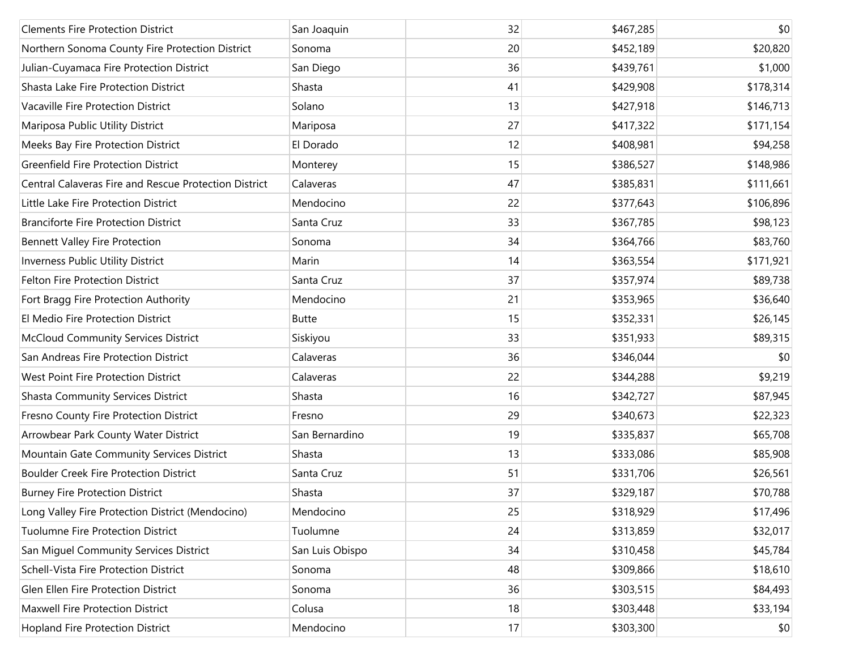| <b>Clements Fire Protection District</b>              | San Joaquin     | 32 | \$467,285 | \$0       |
|-------------------------------------------------------|-----------------|----|-----------|-----------|
| Northern Sonoma County Fire Protection District       | Sonoma          | 20 | \$452,189 | \$20,820  |
| Julian-Cuyamaca Fire Protection District              | San Diego       | 36 | \$439,761 | \$1,000   |
| Shasta Lake Fire Protection District                  | Shasta          | 41 | \$429,908 | \$178,314 |
| Vacaville Fire Protection District                    | Solano          | 13 | \$427,918 | \$146,713 |
| Mariposa Public Utility District                      | Mariposa        | 27 | \$417,322 | \$171,154 |
| Meeks Bay Fire Protection District                    | El Dorado       | 12 | \$408,981 | \$94,258  |
| <b>Greenfield Fire Protection District</b>            | Monterey        | 15 | \$386,527 | \$148,986 |
| Central Calaveras Fire and Rescue Protection District | Calaveras       | 47 | \$385,831 | \$111,661 |
| Little Lake Fire Protection District                  | Mendocino       | 22 | \$377,643 | \$106,896 |
| <b>Branciforte Fire Protection District</b>           | Santa Cruz      | 33 | \$367,785 | \$98,123  |
| <b>Bennett Valley Fire Protection</b>                 | Sonoma          | 34 | \$364,766 | \$83,760  |
| Inverness Public Utility District                     | Marin           | 14 | \$363,554 | \$171,921 |
| Felton Fire Protection District                       | Santa Cruz      | 37 | \$357,974 | \$89,738  |
| Fort Bragg Fire Protection Authority                  | Mendocino       | 21 | \$353,965 | \$36,640  |
| El Medio Fire Protection District                     | <b>Butte</b>    | 15 | \$352,331 | \$26,145  |
| <b>McCloud Community Services District</b>            | Siskiyou        | 33 | \$351,933 | \$89,315  |
| San Andreas Fire Protection District                  | Calaveras       | 36 | \$346,044 | \$0       |
| West Point Fire Protection District                   | Calaveras       | 22 | \$344,288 | \$9,219   |
| <b>Shasta Community Services District</b>             | Shasta          | 16 | \$342,727 | \$87,945  |
| Fresno County Fire Protection District                | Fresno          | 29 | \$340,673 | \$22,323  |
| Arrowbear Park County Water District                  | San Bernardino  | 19 | \$335,837 | \$65,708  |
| Mountain Gate Community Services District             | Shasta          | 13 | \$333,086 | \$85,908  |
| <b>Boulder Creek Fire Protection District</b>         | Santa Cruz      | 51 | \$331,706 | \$26,561  |
| <b>Burney Fire Protection District</b>                | Shasta          | 37 | \$329,187 | \$70,788  |
| Long Valley Fire Protection District (Mendocino)      | Mendocino       | 25 | \$318,929 | \$17,496  |
| Tuolumne Fire Protection District                     | Tuolumne        | 24 | \$313,859 | \$32,017  |
| San Miguel Community Services District                | San Luis Obispo | 34 | \$310,458 | \$45,784  |
| Schell-Vista Fire Protection District                 | Sonoma          | 48 | \$309,866 | \$18,610  |
| Glen Ellen Fire Protection District                   | Sonoma          | 36 | \$303,515 | \$84,493  |
| Maxwell Fire Protection District                      | Colusa          | 18 | \$303,448 | \$33,194  |
| Hopland Fire Protection District                      | Mendocino       | 17 | \$303,300 | \$0       |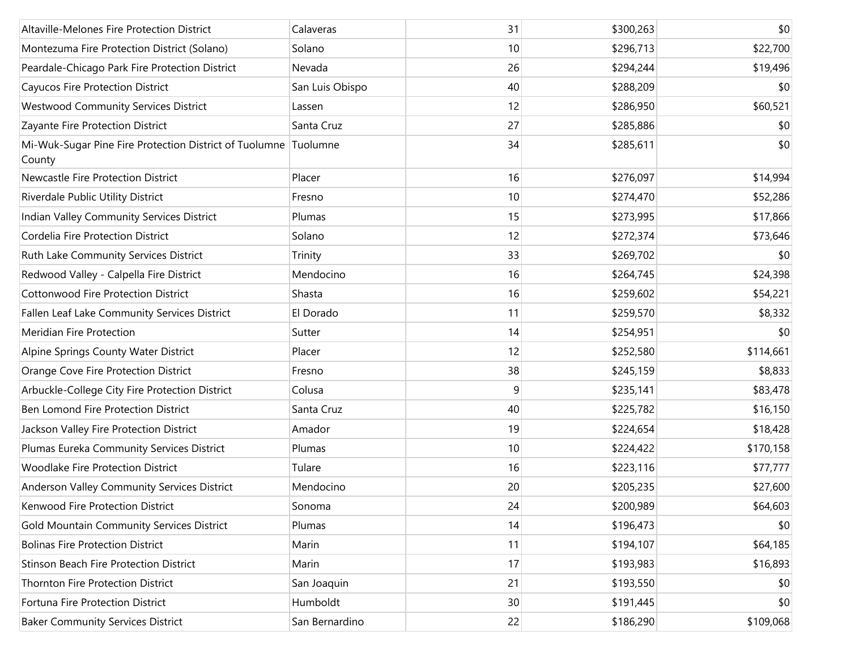| Altaville-Melones Fire Protection District                                | Calaveras       | 31 | \$300,263 | \$0       |
|---------------------------------------------------------------------------|-----------------|----|-----------|-----------|
| Montezuma Fire Protection District (Solano)                               | Solano          | 10 | \$296,713 | \$22,700  |
| Peardale-Chicago Park Fire Protection District                            | Nevada          | 26 | \$294,244 | \$19,496  |
| Cayucos Fire Protection District                                          | San Luis Obispo | 40 | \$288,209 | \$0       |
| <b>Westwood Community Services District</b>                               | Lassen          | 12 | \$286,950 | \$60,521  |
| Zayante Fire Protection District                                          | Santa Cruz      | 27 | \$285,886 | \$0       |
| Mi-Wuk-Sugar Pine Fire Protection District of Tuolumne Tuolumne<br>County |                 | 34 | \$285,611 | \$0       |
| Newcastle Fire Protection District                                        | Placer          | 16 | \$276,097 | \$14,994  |
| Riverdale Public Utility District                                         | Fresno          | 10 | \$274,470 | \$52,286  |
| Indian Valley Community Services District                                 | Plumas          | 15 | \$273,995 | \$17,866  |
| Cordelia Fire Protection District                                         | Solano          | 12 | \$272,374 | \$73,646  |
| Ruth Lake Community Services District                                     | Trinity         | 33 | \$269,702 | \$0       |
| Redwood Valley - Calpella Fire District                                   | Mendocino       | 16 | \$264,745 | \$24,398  |
| <b>Cottonwood Fire Protection District</b>                                | Shasta          | 16 | \$259,602 | \$54,221  |
| Fallen Leaf Lake Community Services District                              | El Dorado       | 11 | \$259,570 | \$8,332   |
| Meridian Fire Protection                                                  | Sutter          | 14 | \$254,951 | \$0       |
| Alpine Springs County Water District                                      | Placer          | 12 | \$252,580 | \$114,661 |
| Orange Cove Fire Protection District                                      | Fresno          | 38 | \$245,159 | \$8,833   |
| Arbuckle-College City Fire Protection District                            | Colusa          | 9  | \$235,141 | \$83,478  |
| Ben Lomond Fire Protection District                                       | Santa Cruz      | 40 | \$225,782 | \$16,150  |
| Jackson Valley Fire Protection District                                   | Amador          | 19 | \$224,654 | \$18,428  |
| Plumas Eureka Community Services District                                 | Plumas          | 10 | \$224,422 | \$170,158 |
| <b>Woodlake Fire Protection District</b>                                  | Tulare          | 16 | \$223,116 | \$77,777  |
| Anderson Valley Community Services District                               | Mendocino       | 20 | \$205,235 | \$27,600  |
| Kenwood Fire Protection District                                          | Sonoma          | 24 | \$200,989 | \$64,603  |
| Gold Mountain Community Services District                                 | Plumas          | 14 | \$196,473 | \$0       |
| <b>Bolinas Fire Protection District</b>                                   | Marin           | 11 | \$194,107 | \$64,185  |
| <b>Stinson Beach Fire Protection District</b>                             | Marin           | 17 | \$193,983 | \$16,893  |
| Thornton Fire Protection District                                         | San Joaquin     | 21 | \$193,550 | \$0       |
| Fortuna Fire Protection District                                          | Humboldt        | 30 | \$191,445 | \$0       |
| <b>Baker Community Services District</b>                                  | San Bernardino  | 22 | \$186,290 | \$109,068 |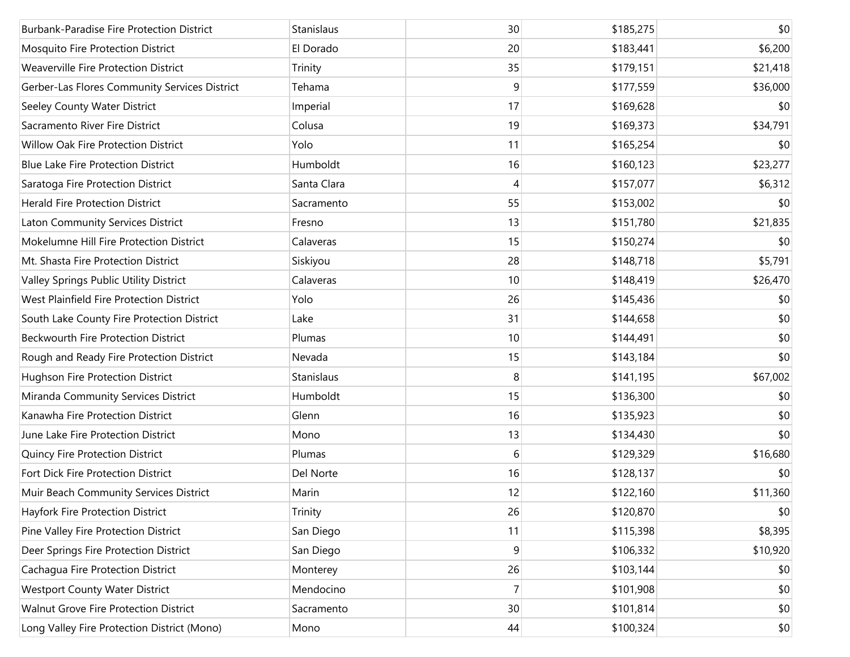| <b>Burbank-Paradise Fire Protection District</b> | Stanislaus  | 30 | \$185,275 | \$0      |
|--------------------------------------------------|-------------|----|-----------|----------|
| Mosquito Fire Protection District                | El Dorado   | 20 | \$183,441 | \$6,200  |
| Weaverville Fire Protection District             | Trinity     | 35 | \$179,151 | \$21,418 |
| Gerber-Las Flores Community Services District    | Tehama      | 9  | \$177,559 | \$36,000 |
| Seeley County Water District                     | Imperial    | 17 | \$169,628 | \$0      |
| Sacramento River Fire District                   | Colusa      | 19 | \$169,373 | \$34,791 |
| Willow Oak Fire Protection District              | Yolo        | 11 | \$165,254 | \$0      |
| <b>Blue Lake Fire Protection District</b>        | Humboldt    | 16 | \$160,123 | \$23,277 |
| Saratoga Fire Protection District                | Santa Clara | 4  | \$157,077 | \$6,312  |
| <b>Herald Fire Protection District</b>           | Sacramento  | 55 | \$153,002 | \$0      |
| Laton Community Services District                | Fresno      | 13 | \$151,780 | \$21,835 |
| Mokelumne Hill Fire Protection District          | Calaveras   | 15 | \$150,274 | \$0      |
| Mt. Shasta Fire Protection District              | Siskiyou    | 28 | \$148,718 | \$5,791  |
| Valley Springs Public Utility District           | Calaveras   | 10 | \$148,419 | \$26,470 |
| West Plainfield Fire Protection District         | Yolo        | 26 | \$145,436 | \$0      |
| South Lake County Fire Protection District       | Lake        | 31 | \$144,658 | \$0      |
| Beckwourth Fire Protection District              | Plumas      | 10 | \$144,491 | \$0      |
| Rough and Ready Fire Protection District         | Nevada      | 15 | \$143,184 | \$0      |
| Hughson Fire Protection District                 | Stanislaus  | 8  | \$141,195 | \$67,002 |
| Miranda Community Services District              | Humboldt    | 15 | \$136,300 | \$0      |
| Kanawha Fire Protection District                 | Glenn       | 16 | \$135,923 | \$0      |
| June Lake Fire Protection District               | Mono        | 13 | \$134,430 | \$0      |
| Quincy Fire Protection District                  | Plumas      | 6  | \$129,329 | \$16,680 |
| Fort Dick Fire Protection District               | Del Norte   | 16 | \$128,137 | \$0      |
| Muir Beach Community Services District           | Marin       | 12 | \$122,160 | \$11,360 |
| Hayfork Fire Protection District                 | Trinity     | 26 | \$120,870 | \$0      |
| Pine Valley Fire Protection District             | San Diego   | 11 | \$115,398 | \$8,395  |
| Deer Springs Fire Protection District            | San Diego   | 9  | \$106,332 | \$10,920 |
| Cachagua Fire Protection District                | Monterey    | 26 | \$103,144 | \$0      |
| <b>Westport County Water District</b>            | Mendocino   | 7  | \$101,908 | \$0      |
| Walnut Grove Fire Protection District            | Sacramento  | 30 | \$101,814 | \$0      |
| Long Valley Fire Protection District (Mono)      | Mono        | 44 | \$100,324 | \$0      |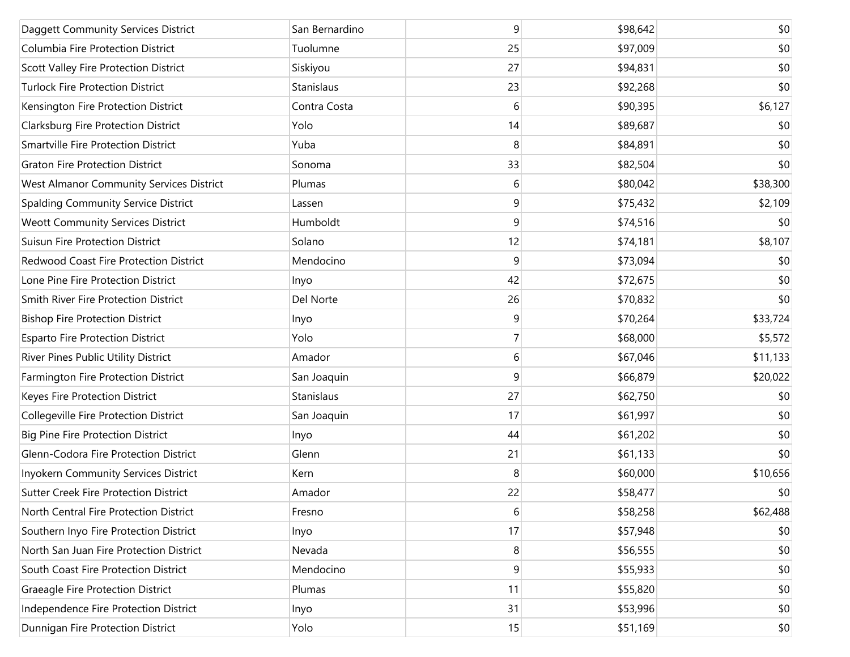| Daggett Community Services District          | San Bernardino | 9  | \$98,642 | \$0      |
|----------------------------------------------|----------------|----|----------|----------|
| Columbia Fire Protection District            | Tuolumne       | 25 | \$97,009 | \$0      |
| Scott Valley Fire Protection District        | Siskiyou       | 27 | \$94,831 | \$0      |
| <b>Turlock Fire Protection District</b>      | Stanislaus     | 23 | \$92,268 | \$0      |
| Kensington Fire Protection District          | Contra Costa   | 6  | \$90,395 | \$6,127  |
| Clarksburg Fire Protection District          | Yolo           | 14 | \$89,687 | \$0      |
| Smartville Fire Protection District          | Yuba           | 8  | \$84,891 | \$0      |
| <b>Graton Fire Protection District</b>       | Sonoma         | 33 | \$82,504 | \$0      |
| West Almanor Community Services District     | Plumas         | 6  | \$80,042 | \$38,300 |
| Spalding Community Service District          | Lassen         | 9  | \$75,432 | \$2,109  |
| <b>Weott Community Services District</b>     | Humboldt       | 9  | \$74,516 | \$0      |
| <b>Suisun Fire Protection District</b>       | Solano         | 12 | \$74,181 | \$8,107  |
| Redwood Coast Fire Protection District       | Mendocino      | 9  | \$73,094 | \$0      |
| Lone Pine Fire Protection District           | Inyo           | 42 | \$72,675 | \$0      |
| Smith River Fire Protection District         | Del Norte      | 26 | \$70,832 | \$0      |
| <b>Bishop Fire Protection District</b>       | Inyo           | 9  | \$70,264 | \$33,724 |
| <b>Esparto Fire Protection District</b>      | Yolo           | 7  | \$68,000 | \$5,572  |
| River Pines Public Utility District          | Amador         | 6  | \$67,046 | \$11,133 |
| Farmington Fire Protection District          | San Joaquin    | 9  | \$66,879 | \$20,022 |
| Keyes Fire Protection District               | Stanislaus     | 27 | \$62,750 | \$0      |
| Collegeville Fire Protection District        | San Joaquin    | 17 | \$61,997 | \$0      |
| <b>Big Pine Fire Protection District</b>     | Inyo           | 44 | \$61,202 | \$0      |
| Glenn-Codora Fire Protection District        | Glenn          | 21 | \$61,133 | \$0      |
| Inyokern Community Services District         | Kern           | 8  | \$60,000 | \$10,656 |
| <b>Sutter Creek Fire Protection District</b> | Amador         | 22 | \$58,477 | \$0      |
| North Central Fire Protection District       | Fresno         | 6  | \$58,258 | \$62,488 |
| Southern Inyo Fire Protection District       | Inyo           | 17 | \$57,948 | \$0      |
| North San Juan Fire Protection District      | Nevada         | 8  | \$56,555 | \$0      |
| South Coast Fire Protection District         | Mendocino      | 9  | \$55,933 | \$0      |
| Graeagle Fire Protection District            | Plumas         | 11 | \$55,820 | \$0      |
| Independence Fire Protection District        | Inyo           | 31 | \$53,996 | \$0      |
| Dunnigan Fire Protection District            | Yolo           | 15 | \$51,169 | \$0      |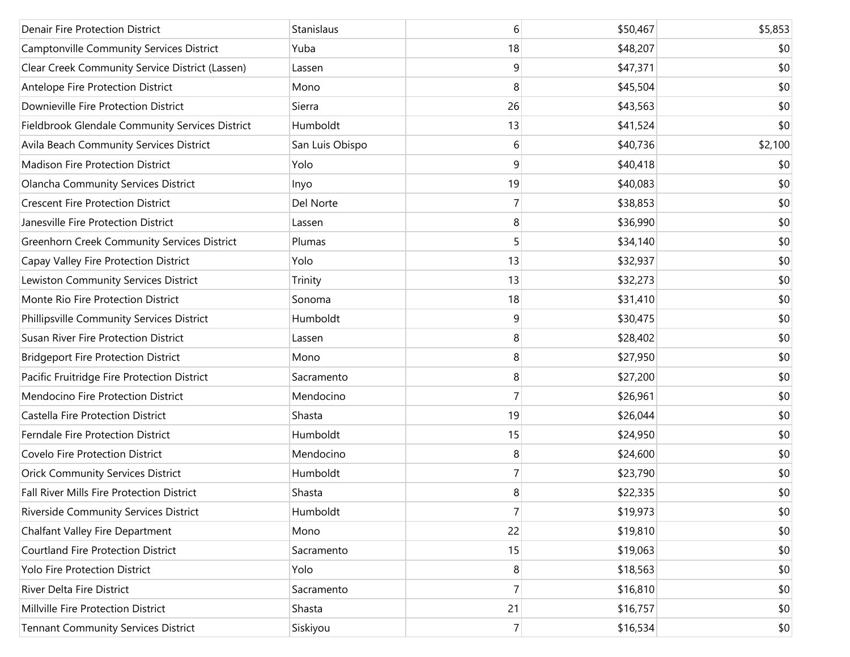| <b>Denair Fire Protection District</b>             | Stanislaus      | 6              | \$50,467 | \$5,853 |
|----------------------------------------------------|-----------------|----------------|----------|---------|
| Camptonville Community Services District           | Yuba            | 18             | \$48,207 | \$0     |
| Clear Creek Community Service District (Lassen)    | Lassen          | 9              | \$47,371 | \$0     |
| Antelope Fire Protection District                  | Mono            | 8              | \$45,504 | \$0     |
| Downieville Fire Protection District               | Sierra          | 26             | \$43,563 | \$0     |
| Fieldbrook Glendale Community Services District    | Humboldt        | 13             | \$41,524 | \$0     |
| Avila Beach Community Services District            | San Luis Obispo | 6              | \$40,736 | \$2,100 |
| <b>Madison Fire Protection District</b>            | Yolo            | 9              | \$40,418 | \$0     |
| <b>Olancha Community Services District</b>         | Inyo            | 19             | \$40,083 | \$0     |
| <b>Crescent Fire Protection District</b>           | Del Norte       | 7              | \$38,853 | \$0     |
| Janesville Fire Protection District                | Lassen          | 8              | \$36,990 | \$0     |
| <b>Greenhorn Creek Community Services District</b> | Plumas          | 5              | \$34,140 | \$0     |
| Capay Valley Fire Protection District              | Yolo            | 13             | \$32,937 | \$0     |
| Lewiston Community Services District               | Trinity         | 13             | \$32,273 | \$0     |
| Monte Rio Fire Protection District                 | Sonoma          | 18             | \$31,410 | \$0     |
| Phillipsville Community Services District          | Humboldt        | 9              | \$30,475 | \$0     |
| Susan River Fire Protection District               | Lassen          | 8              | \$28,402 | \$0     |
| <b>Bridgeport Fire Protection District</b>         | Mono            | 8              | \$27,950 | \$0     |
| Pacific Fruitridge Fire Protection District        | Sacramento      | 8              | \$27,200 | \$0     |
| Mendocino Fire Protection District                 | Mendocino       | 7              | \$26,961 | \$0     |
| Castella Fire Protection District                  | Shasta          | 19             | \$26,044 | \$0     |
| Ferndale Fire Protection District                  | Humboldt        | 15             | \$24,950 | \$0     |
| Covelo Fire Protection District                    | Mendocino       | 8              | \$24,600 | \$0     |
| <b>Orick Community Services District</b>           | Humboldt        | 7              | \$23,790 | \$0     |
| Fall River Mills Fire Protection District          | Shasta          | 8              | \$22,335 | \$0     |
| Riverside Community Services District              | Humboldt        | $\overline{7}$ | \$19,973 | \$0     |
| Chalfant Valley Fire Department                    | Mono            | 22             | \$19,810 | \$0     |
| <b>Courtland Fire Protection District</b>          | Sacramento      | 15             | \$19,063 | \$0     |
| Yolo Fire Protection District                      | Yolo            | 8              | \$18,563 | \$0     |
| River Delta Fire District                          | Sacramento      | 7              | \$16,810 | \$0     |
| Millville Fire Protection District                 | Shasta          | 21             | \$16,757 | \$0     |
| <b>Tennant Community Services District</b>         | Siskiyou        | $7\vert$       | \$16,534 | \$0     |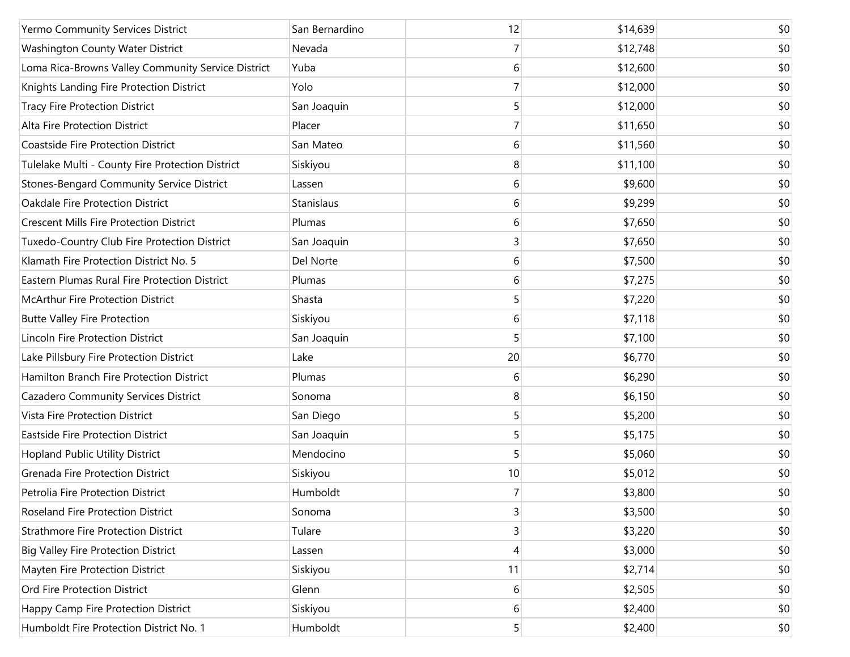| Yermo Community Services District                  | San Bernardino | 12 | \$14,639 | \$0 |
|----------------------------------------------------|----------------|----|----------|-----|
| Washington County Water District                   | Nevada         | 7  | \$12,748 | \$0 |
| Loma Rica-Browns Valley Community Service District | Yuba           | 6  | \$12,600 | \$0 |
| Knights Landing Fire Protection District           | Yolo           | 7  | \$12,000 | \$0 |
| <b>Tracy Fire Protection District</b>              | San Joaquin    | 5  | \$12,000 | \$0 |
| Alta Fire Protection District                      | Placer         | 7  | \$11,650 | \$0 |
| <b>Coastside Fire Protection District</b>          | San Mateo      | 6  | \$11,560 | \$0 |
| Tulelake Multi - County Fire Protection District   | Siskiyou       | 8  | \$11,100 | \$0 |
| <b>Stones-Bengard Community Service District</b>   | Lassen         | 6  | \$9,600  | \$0 |
| Oakdale Fire Protection District                   | Stanislaus     | 6  | \$9,299  | \$0 |
| <b>Crescent Mills Fire Protection District</b>     | Plumas         | 6  | \$7,650  | \$0 |
| Tuxedo-Country Club Fire Protection District       | San Joaquin    | 3  | \$7,650  | \$0 |
| Klamath Fire Protection District No. 5             | Del Norte      | 6  | \$7,500  | \$0 |
| Eastern Plumas Rural Fire Protection District      | Plumas         | 6  | \$7,275  | \$0 |
| <b>McArthur Fire Protection District</b>           | Shasta         | 5  | \$7,220  | \$0 |
| <b>Butte Valley Fire Protection</b>                | Siskiyou       | 6  | \$7,118  | \$0 |
| Lincoln Fire Protection District                   | San Joaquin    | 5  | \$7,100  | \$0 |
| Lake Pillsbury Fire Protection District            | Lake           | 20 | \$6,770  | \$0 |
| Hamilton Branch Fire Protection District           | Plumas         | 6  | \$6,290  | \$0 |
| Cazadero Community Services District               | Sonoma         | 8  | \$6,150  | \$0 |
| Vista Fire Protection District                     | San Diego      | 5  | \$5,200  | \$0 |
| <b>Eastside Fire Protection District</b>           | San Joaquin    | 5  | \$5,175  | \$0 |
| <b>Hopland Public Utility District</b>             | Mendocino      | 5  | \$5,060  | \$0 |
| <b>Grenada Fire Protection District</b>            | Siskiyou       | 10 | \$5,012  | \$0 |
| Petrolia Fire Protection District                  | Humboldt       | 7  | \$3,800  | \$0 |
| Roseland Fire Protection District                  | Sonoma         | 3  | \$3,500  | \$0 |
| <b>Strathmore Fire Protection District</b>         | Tulare         | 3  | \$3,220  | \$0 |
| <b>Big Valley Fire Protection District</b>         | Lassen         | 4  | \$3,000  | \$0 |
| Mayten Fire Protection District                    | Siskiyou       | 11 | \$2,714  | \$0 |
| Ord Fire Protection District                       | Glenn          | 6  | \$2,505  | \$0 |
| Happy Camp Fire Protection District                | Siskiyou       | 6  | \$2,400  | \$0 |
| Humboldt Fire Protection District No. 1            | Humboldt       | 5  | \$2,400  | \$0 |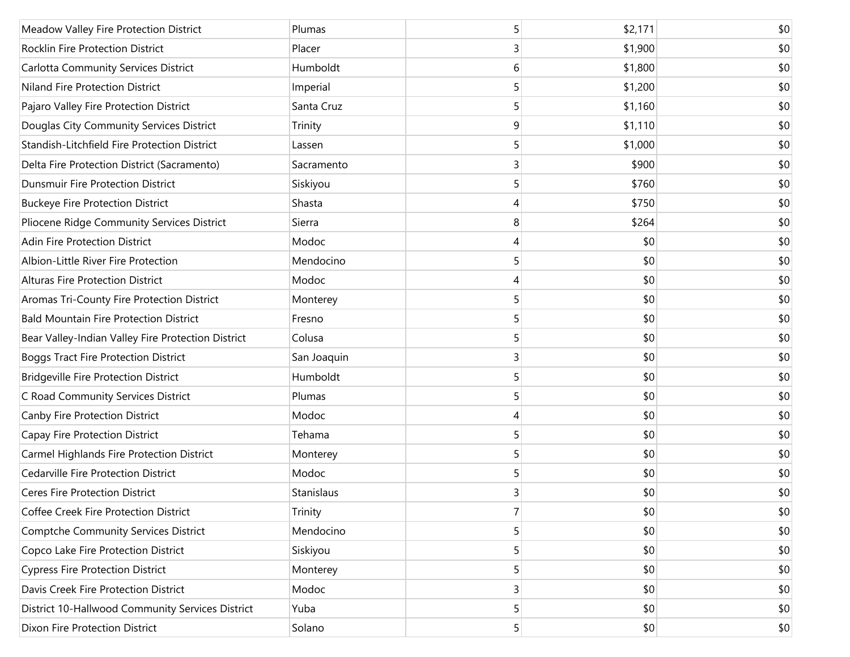| Meadow Valley Fire Protection District             | Plumas      | 5 | \$2,171 | \$0 |
|----------------------------------------------------|-------------|---|---------|-----|
| Rocklin Fire Protection District                   | Placer      | 3 | \$1,900 | \$0 |
| <b>Carlotta Community Services District</b>        | Humboldt    | 6 | \$1,800 | \$0 |
| Niland Fire Protection District                    | Imperial    | 5 | \$1,200 | \$0 |
| Pajaro Valley Fire Protection District             | Santa Cruz  | 5 | \$1,160 | \$0 |
| Douglas City Community Services District           | Trinity     | 9 | \$1,110 | \$0 |
| Standish-Litchfield Fire Protection District       | Lassen      | 5 | \$1,000 | \$0 |
| Delta Fire Protection District (Sacramento)        | Sacramento  | 3 | \$900   | \$0 |
| <b>Dunsmuir Fire Protection District</b>           | Siskiyou    | 5 | \$760   | \$0 |
| <b>Buckeye Fire Protection District</b>            | Shasta      | 4 | \$750   | \$0 |
| Pliocene Ridge Community Services District         | Sierra      | 8 | \$264   | \$0 |
| <b>Adin Fire Protection District</b>               | Modoc       | 4 | \$0     | \$0 |
| Albion-Little River Fire Protection                | Mendocino   | 5 | \$0     | \$0 |
| <b>Alturas Fire Protection District</b>            | Modoc       | 4 | \$0     | \$0 |
| Aromas Tri-County Fire Protection District         | Monterey    | 5 | \$0     | \$0 |
| <b>Bald Mountain Fire Protection District</b>      | Fresno      | 5 | \$0     | \$0 |
| Bear Valley-Indian Valley Fire Protection District | Colusa      | 5 | \$0     | \$0 |
| <b>Boggs Tract Fire Protection District</b>        | San Joaquin | 3 | \$0     | \$0 |
| <b>Bridgeville Fire Protection District</b>        | Humboldt    | 5 | \$0     | \$0 |
| C Road Community Services District                 | Plumas      | 5 | \$0     | \$0 |
| Canby Fire Protection District                     | Modoc       | 4 | \$0     | \$0 |
| Capay Fire Protection District                     | Tehama      | 5 | \$0     | \$0 |
| Carmel Highlands Fire Protection District          | Monterey    | 5 | \$0     | \$0 |
| Cedarville Fire Protection District                | Modoc       | 5 | \$0     | \$0 |
| <b>Ceres Fire Protection District</b>              | Stanislaus  | 3 | \$0     | \$0 |
| Coffee Creek Fire Protection District              | Trinity     | 7 | \$0     | \$0 |
| <b>Comptche Community Services District</b>        | Mendocino   | 5 | \$0     | \$0 |
| Copco Lake Fire Protection District                | Siskiyou    | 5 | \$0     | \$0 |
| <b>Cypress Fire Protection District</b>            | Monterey    | 5 | \$0     | \$0 |
| Davis Creek Fire Protection District               | Modoc       | 3 | \$0     | \$0 |
| District 10-Hallwood Community Services District   | Yuba        | 5 | \$0     | \$0 |
| Dixon Fire Protection District                     | Solano      | 5 | \$0     | \$0 |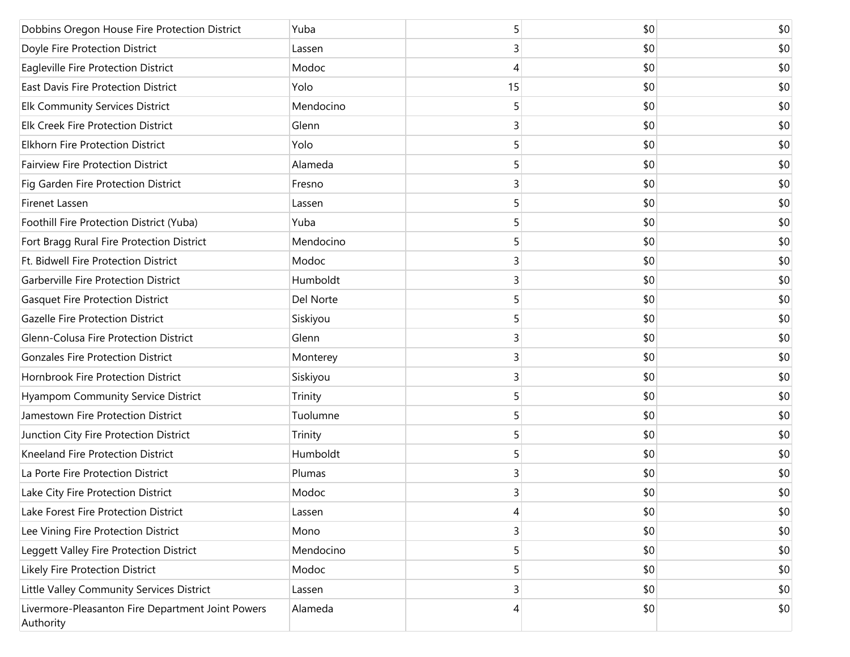| Dobbins Oregon House Fire Protection District                  | Yuba      | 5  | \$0 | \$0 |
|----------------------------------------------------------------|-----------|----|-----|-----|
| Doyle Fire Protection District                                 | Lassen    | 3  | \$0 | \$0 |
| Eagleville Fire Protection District                            | Modoc     | 4  | \$0 | \$0 |
| East Davis Fire Protection District                            | Yolo      | 15 | \$0 | \$0 |
| <b>Elk Community Services District</b>                         | Mendocino | 5  | \$0 | \$0 |
| Elk Creek Fire Protection District                             | Glenn     | 3  | \$0 | \$0 |
| <b>Elkhorn Fire Protection District</b>                        | Yolo      | 5  | \$0 | \$0 |
| <b>Fairview Fire Protection District</b>                       | Alameda   | 5  | \$0 | \$0 |
| Fig Garden Fire Protection District                            | Fresno    | 3  | \$0 | \$0 |
| Firenet Lassen                                                 | Lassen    | 5  | \$0 | \$0 |
| Foothill Fire Protection District (Yuba)                       | Yuba      | 5  | \$0 | \$0 |
| Fort Bragg Rural Fire Protection District                      | Mendocino | 5  | \$0 | \$0 |
| Ft. Bidwell Fire Protection District                           | Modoc     | 3  | \$0 | \$0 |
| Garberville Fire Protection District                           | Humboldt  | 3  | \$0 | \$0 |
| <b>Gasquet Fire Protection District</b>                        | Del Norte | 5  | \$0 | \$0 |
| <b>Gazelle Fire Protection District</b>                        | Siskiyou  | 5  | \$0 | \$0 |
| Glenn-Colusa Fire Protection District                          | Glenn     | 3  | \$0 | \$0 |
| <b>Gonzales Fire Protection District</b>                       | Monterey  | 3  | \$0 | \$0 |
| Hornbrook Fire Protection District                             | Siskiyou  | 3  | \$0 | \$0 |
| Hyampom Community Service District                             | Trinity   | 5  | \$0 | \$0 |
| Jamestown Fire Protection District                             | Tuolumne  | 5  | \$0 | \$0 |
| Junction City Fire Protection District                         | Trinity   | 5  | \$0 | \$0 |
| Kneeland Fire Protection District                              | Humboldt  | 5  | \$0 | \$0 |
| La Porte Fire Protection District                              | Plumas    | 3  | \$0 | \$0 |
| Lake City Fire Protection District                             | Modoc     | 3  | \$0 | \$0 |
| Lake Forest Fire Protection District                           | Lassen    | 4  | \$0 | \$0 |
| Lee Vining Fire Protection District                            | Mono      | 3  | \$0 | \$0 |
| Leggett Valley Fire Protection District                        | Mendocino | 5  | \$0 | \$0 |
| Likely Fire Protection District                                | Modoc     | 5  | \$0 | \$0 |
| Little Valley Community Services District                      | Lassen    | 3  | \$0 | \$0 |
| Livermore-Pleasanton Fire Department Joint Powers<br>Authority | Alameda   | 4  | \$0 | \$0 |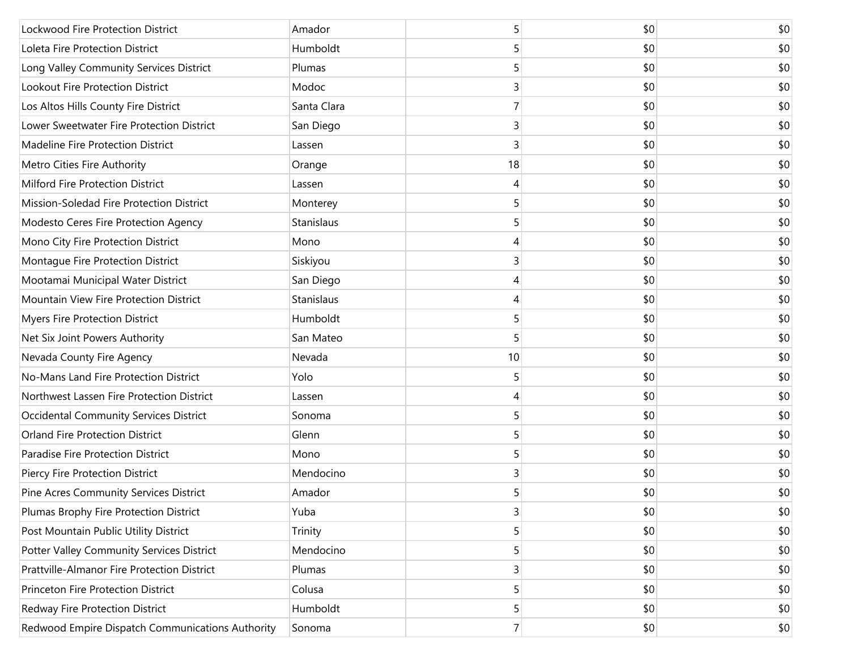| Lockwood Fire Protection District                | Amador      | 5  | \$0 | \$0 |
|--------------------------------------------------|-------------|----|-----|-----|
| Loleta Fire Protection District                  | Humboldt    | 5  | \$0 | \$0 |
| Long Valley Community Services District          | Plumas      | 5  | \$0 | \$0 |
| Lookout Fire Protection District                 | Modoc       | 3  | \$0 | \$0 |
| Los Altos Hills County Fire District             | Santa Clara | 7  | \$0 | \$0 |
| Lower Sweetwater Fire Protection District        | San Diego   | 3  | \$0 | \$0 |
| Madeline Fire Protection District                | Lassen      | 3  | \$0 | \$0 |
| Metro Cities Fire Authority                      | Orange      | 18 | \$0 | \$0 |
| Milford Fire Protection District                 | Lassen      | 4  | \$0 | \$0 |
| Mission-Soledad Fire Protection District         | Monterey    | 5  | \$0 | \$0 |
| Modesto Ceres Fire Protection Agency             | Stanislaus  | 5  | \$0 | \$0 |
| Mono City Fire Protection District               | Mono        | 4  | \$0 | \$0 |
| Montaque Fire Protection District                | Siskiyou    | 3  | \$0 | \$0 |
| Mootamai Municipal Water District                | San Diego   | 4  | \$0 | \$0 |
| Mountain View Fire Protection District           | Stanislaus  | 4  | \$0 | \$0 |
| <b>Myers Fire Protection District</b>            | Humboldt    | 5  | \$0 | \$0 |
| Net Six Joint Powers Authority                   | San Mateo   | 5  | \$0 | \$0 |
| Nevada County Fire Agency                        | Nevada      | 10 | \$0 | \$0 |
| No-Mans Land Fire Protection District            | Yolo        | 5  | \$0 | \$0 |
| Northwest Lassen Fire Protection District        | Lassen      | 4  | \$0 | \$0 |
| Occidental Community Services District           | Sonoma      | 5  | \$0 | \$0 |
| <b>Orland Fire Protection District</b>           | Glenn       | 5  | \$0 | \$0 |
| Paradise Fire Protection District                | Mono        | 5  | \$0 | \$0 |
| Piercy Fire Protection District                  | Mendocino   | 3  | \$0 | \$0 |
| Pine Acres Community Services District           | Amador      | 5  | \$0 | \$0 |
| Plumas Brophy Fire Protection District           | Yuba        | 3  | \$0 | \$0 |
| Post Mountain Public Utility District            | Trinity     | 5  | \$0 | \$0 |
| Potter Valley Community Services District        | Mendocino   | 5  | \$0 | \$0 |
| Prattville-Almanor Fire Protection District      | Plumas      | 3  | \$0 | \$0 |
| Princeton Fire Protection District               | Colusa      | 5  | \$0 | \$0 |
| Redway Fire Protection District                  | Humboldt    | 5  | \$0 | \$0 |
| Redwood Empire Dispatch Communications Authority | Sonoma      | 7  | \$0 | \$0 |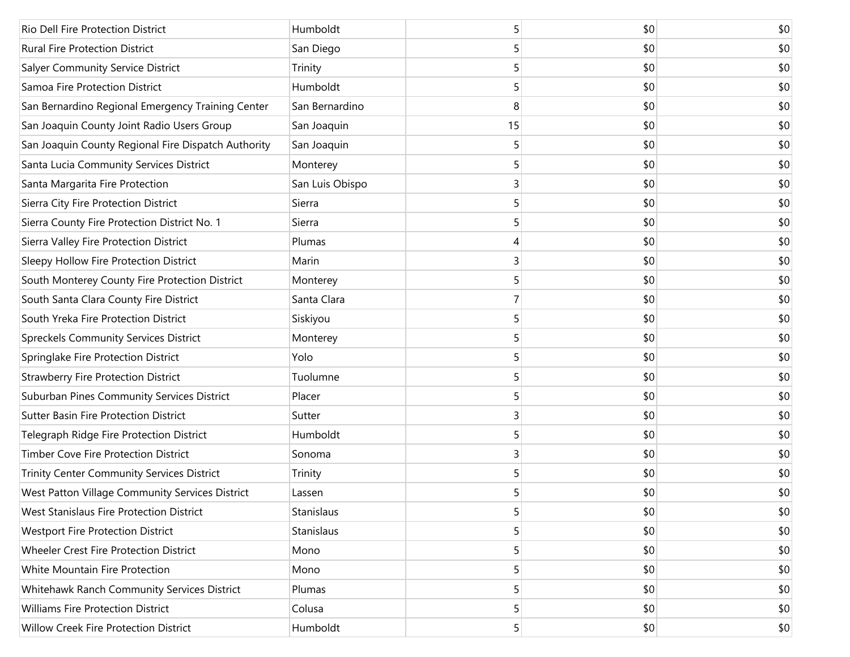| Rio Dell Fire Protection District                   | Humboldt        | 5  | \$0 | \$0 |
|-----------------------------------------------------|-----------------|----|-----|-----|
| <b>Rural Fire Protection District</b>               | San Diego       | 5  | \$0 | \$0 |
| Salyer Community Service District                   | Trinity         | 5  | \$0 | \$0 |
| Samoa Fire Protection District                      | Humboldt        | 5  | \$0 | \$0 |
| San Bernardino Regional Emergency Training Center   | San Bernardino  | 8  | \$0 | \$0 |
| San Joaquin County Joint Radio Users Group          | San Joaquin     | 15 | \$0 | \$0 |
| San Joaquin County Regional Fire Dispatch Authority | San Joaquin     | 5  | \$0 | \$0 |
| Santa Lucia Community Services District             | Monterey        | 5  | \$0 | \$0 |
| Santa Margarita Fire Protection                     | San Luis Obispo | 3  | \$0 | \$0 |
| Sierra City Fire Protection District                | Sierra          | 5  | \$0 | \$0 |
| Sierra County Fire Protection District No. 1        | Sierra          | 5  | \$0 | \$0 |
| Sierra Valley Fire Protection District              | Plumas          | 4  | \$0 | \$0 |
| Sleepy Hollow Fire Protection District              | Marin           | 3  | \$0 | \$0 |
| South Monterey County Fire Protection District      | Monterey        | 5  | \$0 | \$0 |
| South Santa Clara County Fire District              | Santa Clara     | 7  | \$0 | \$0 |
| South Yreka Fire Protection District                | Siskiyou        | 5  | \$0 | \$0 |
| <b>Spreckels Community Services District</b>        | Monterey        | 5  | \$0 | \$0 |
| Springlake Fire Protection District                 | Yolo            | 5  | \$0 | \$0 |
| <b>Strawberry Fire Protection District</b>          | Tuolumne        | 5  | \$0 | \$0 |
| Suburban Pines Community Services District          | Placer          | 5  | \$0 | \$0 |
| <b>Sutter Basin Fire Protection District</b>        | Sutter          | 3  | \$0 | \$0 |
| Telegraph Ridge Fire Protection District            | Humboldt        | 5  | \$0 | \$0 |
| Timber Cove Fire Protection District                | Sonoma          | 3  | \$0 | \$0 |
| Trinity Center Community Services District          | Trinity         | 5  | \$0 | \$0 |
| West Patton Village Community Services District     | Lassen          | 5  | \$0 | \$0 |
| West Stanislaus Fire Protection District            | Stanislaus      | 5  | \$0 | \$0 |
| <b>Westport Fire Protection District</b>            | Stanislaus      | 5  | \$0 | \$0 |
| Wheeler Crest Fire Protection District              | Mono            | 5  | \$0 | \$0 |
| White Mountain Fire Protection                      | Mono            | 5  | \$0 | \$0 |
| Whitehawk Ranch Community Services District         | Plumas          | 5  | \$0 | \$0 |
| <b>Williams Fire Protection District</b>            | Colusa          | 5  | \$0 | \$0 |
| Willow Creek Fire Protection District               | Humboldt        | 5  | \$0 | \$0 |